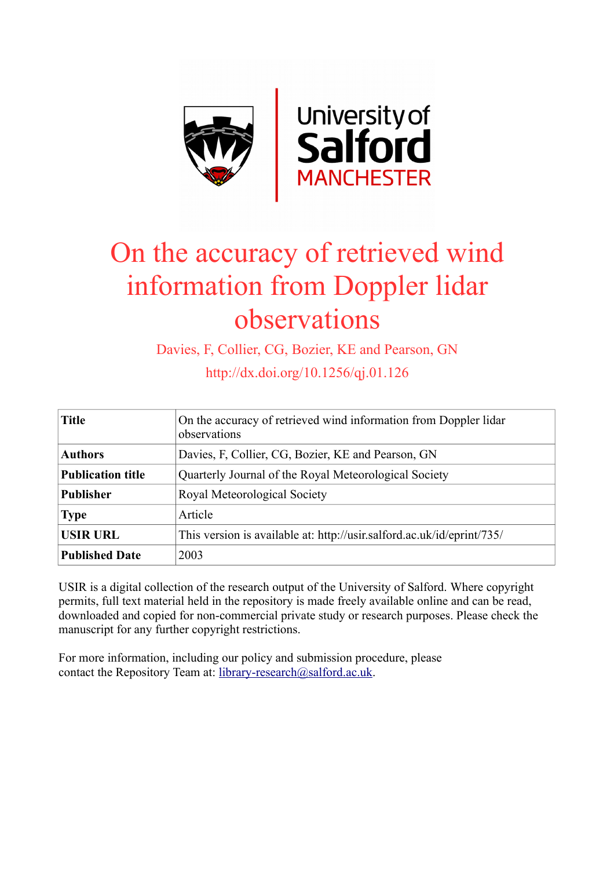

# On the accuracy of retrieved wind information from Doppler lidar observations

Davies, F, Collier, CG, Bozier, KE and Pearson, GN

http://dx.doi.org/10.1256/qj.01.126

| <b>Title</b>             | On the accuracy of retrieved wind information from Doppler lidar<br>observations |  |
|--------------------------|----------------------------------------------------------------------------------|--|
| <b>Authors</b>           | Davies, F, Collier, CG, Bozier, KE and Pearson, GN                               |  |
| <b>Publication title</b> | Quarterly Journal of the Royal Meteorological Society                            |  |
| <b>Publisher</b>         | Royal Meteorological Society                                                     |  |
| <b>Type</b>              | Article                                                                          |  |
| <b>USIR URL</b>          | This version is available at: http://usir.salford.ac.uk/id/eprint/735/           |  |
| <b>Published Date</b>    | 2003                                                                             |  |

USIR is a digital collection of the research output of the University of Salford. Where copyright permits, full text material held in the repository is made freely available online and can be read, downloaded and copied for non-commercial private study or research purposes. Please check the manuscript for any further copyright restrictions.

For more information, including our policy and submission procedure, please contact the Repository Team at: [library-research@salford.ac.uk.](mailto:library-research@salford.ac.uk)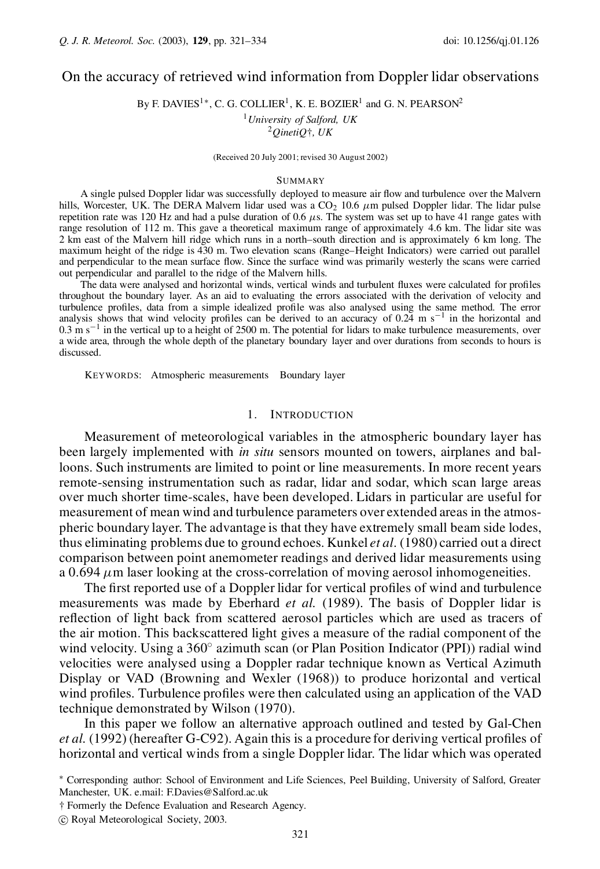# On the accuracy of retrieved wind information from Doppler lidar observations

By F. DAVIES<sup>1\*</sup>, C. G. COLLIER<sup>1</sup>, K. E. BOZIER<sup>1</sup> and G. N. PEARSON<sup>2</sup>

<sup>1</sup>*University of Salford, UK* <sup>2</sup>*QinetiQ*†*, UK*

(Received 20 July 2001; revised 30 August 2002)

#### **SUMMARY**

A single pulsed Doppler lidar was successfully deployed to measure air flow and turbulence over the Malvern hills, Worcester, UK. The DERA Malvern lidar used was a  $CO<sub>2</sub> 10.6 \mu m$  pulsed Doppler lidar. The lidar pulse repetition rate was 120 Hz and had a pulse duration of 0.6  $\mu$ s. The system was set up to have 41 range gates with range resolution of 112 m. This gave a theoretical maximum range of approximately 4.6 km. The lidar site was 2 km east of the Malvern hill ridge which runs in a north–south direction and is approximately 6 km long. The maximum height of the ridge is 430 m. Two elevation scans (Range–Height Indicators) were carried out parallel and perpendicular to the mean surface flow. Since the surface wind was primarily westerly the scans were carried out perpendicular and parallel to the ridge of the Malvern hills.

The data were analysed and horizontal winds, vertical winds and turbulent fluxes were calculated for profiles throughout the boundary layer. As an aid to evaluating the errors associated with the derivation of velocity and turbulence profiles, data from a simple idealized profile was also analysed using the same method. The error analysis shows that wind velocity profiles can be derived to an accuracy of 0.24 m s<sup>-1</sup> in the horizontal and  $0.3 \text{ m s}^{-1}$  in the vertical up to a height of 2500 m. The potential for lidars to make turbulence measurements, over a wide area, through the whole depth of the planetary boundary layer and over durations from seconds to hours is discussed.

KEYWORDS: Atmospheric measurements Boundary layer

# 1. INTRODUCTION

Measurement of meteorological variables in the atmospheric boundary layer has been largely implemented with *in situ* sensors mounted on towers, airplanes and balloons. Such instruments are limited to point or line measurements. In more recent years remote-sensing instrumentation such as radar, lidar and sodar, which scan large areas over much shorter time-scales, have been developed. Lidars in particular are useful for measurement of mean wind and turbulence parameters over extended areas in the atmospheric boundary layer. The advantage is that they have extremely small beam side lodes, thus eliminating problems due to ground echoes. Kunkel *et al*. (1980) carried out a direct comparison between point anemometer readings and derived lidar measurements using a 0.694  $\mu$ m laser looking at the cross-correlation of moving aerosol inhomogeneities.

The first reported use of a Doppler lidar for vertical profiles of wind and turbulence measurements was made by Eberhard *et al.* (1989). The basis of Doppler lidar is reflection of light back from scattered aerosol particles which are used as tracers of the air motion. This backscattered light gives a measure of the radial component of the wind velocity. Using a  $360^{\circ}$  azimuth scan (or Plan Position Indicator (PPI)) radial wind velocities were analysed using a Doppler radar technique known as Vertical Azimuth Display or VAD (Browning and Wexler (1968)) to produce horizontal and vertical wind profiles. Turbulence profiles were then calculated using an application of the VAD technique demonstrated by Wilson (1970).

In this paper we follow an alternative approach outlined and tested by Gal-Chen *et al.* (1992) (hereafter G-C92). Again this is a procedure for deriving vertical profiles of horizontal and vertical winds from a single Doppler lidar. The lidar which was operated

°c Royal Meteorological Society, 2003.

<sup>¤</sup> Corresponding author: School of Environment and Life Sciences, Peel Building, University of Salford, Greater Manchester, UK. e.mail: F.Davies@Salford.ac.uk

<sup>†</sup> Formerly the Defence Evaluation and Research Agency.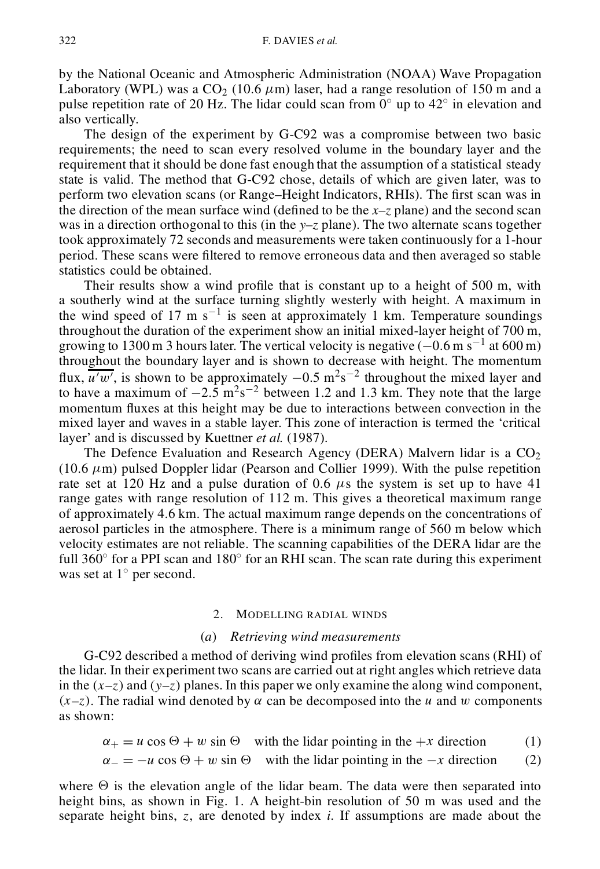by the National Oceanic and Atmospheric Administration (NOAA) Wave Propagation Laboratory (WPL) was a  $CO<sub>2</sub>$  (10.6  $\mu$ m) laser, had a range resolution of 150 m and a pulse repetition rate of 20 Hz. The lidar could scan from  $0^{\circ}$  up to  $42^{\circ}$  in elevation and also vertically.

The design of the experiment by G-C92 was a compromise between two basic requirements; the need to scan every resolved volume in the boundary layer and the requirement that it should be done fast enough that the assumption of a statistical steady state is valid. The method that G-C92 chose, details of which are given later, was to perform two elevation scans (or Range–Height Indicators, RHIs). The first scan was in the direction of the mean surface wind (defined to be the  $x-z$  plane) and the second scan was in a direction orthogonal to this (in the *y–z* plane). The two alternate scans together took approximately 72 seconds and measurements were taken continuously for a 1-hour period. These scans were filtered to remove erroneous data and then averaged so stable statistics could be obtained.

Their results show a wind profile that is constant up to a height of  $500$  m, with a southerly wind at the surface turning slightly westerly with height. A maximum in the wind speed of 17 m  $s^{-1}$  is seen at approximately 1 km. Temperature soundings throughout the duration of the experiment show an initial mixed-layer height of 700 m, growing to 1300 m 3 hours later. The vertical velocity is negative  $(-0.6 \text{ m s}^{-1}$  at 600 m) throughout the boundary layer and is shown to decrease with height. The momentum flux,  $\overline{u^{\prime}w^{\prime}}$ , is shown to be approximately  $-0.5 \text{ m}^2\text{s}^{-2}$  throughout the mixed layer and to have a maximum of  $-2.5 \text{ m}^2 \text{s}^{-2}$  between 1.2 and 1.3 km. They note that the large momentum fluxes at this height may be due to interactions between convection in the mixed layer and waves in a stable layer. This zone of interaction is termed the 'critical layer' and is discussed by Kuettner *et al.* (1987).

The Defence Evaluation and Research Agency (DERA) Malvern lidar is a  $CO<sub>2</sub>$ (10.6  $\mu$ m) pulsed Doppler lidar (Pearson and Collier 1999). With the pulse repetition rate set at 120 Hz and a pulse duration of 0.6  $\mu$ s the system is set up to have 41 range gates with range resolution of 112 m. This gives a theoretical maximum range of approximately 4.6 km. The actual maximum range depends on the concentrations of aerosol particles in the atmosphere. There is a minimum range of 560 m below which velocity estimates are not reliable. The scanning capabilities of the DERA lidar are the full 360 $\degree$  for a PPI scan and 180 $\degree$  for an RHI scan. The scan rate during this experiment was set at  $1^{\circ}$  per second.

#### 2. MODELLING RADIAL WINDS

# (*a*) *Retrieving wind measurements*

G-C92 described a method of deriving wind profiles from elevation scans (RHI) of the lidar. In their experiment two scans are carried out at right angles which retrieve data in the  $(x-z)$  and  $(y-z)$  planes. In this paper we only examine the along wind component,  $(x-z)$ . The radial wind denoted by  $\alpha$  can be decomposed into the u and w components as shown:

 $\alpha_+ = u \cos \Theta + w \sin \Theta$  with the lidar pointing in the +x direction (1)

 $\alpha_{-} = -u \cos \Theta + w \sin \Theta$  with the lidar pointing in the  $-x$  direction (2)

where  $\Theta$  is the elevation angle of the lidar beam. The data were then separated into height bins, as shown in Fig. 1. A height-bin resolution of 50 m was used and the separate height bins, z, are denoted by index *i*. If assumptions are made about the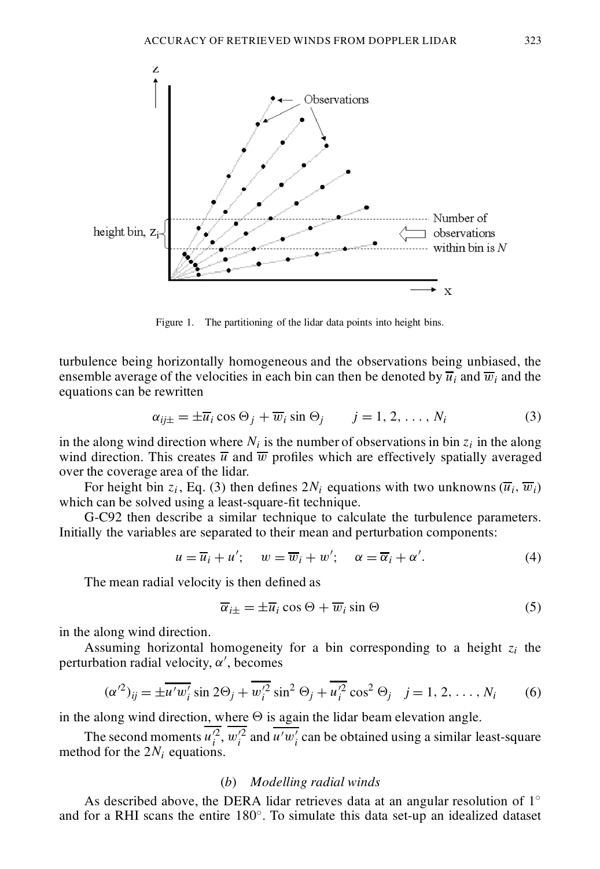

Figure 1. The partitioning of the lidar data points into height bins.

turbulence being horizontally homogeneous and the observations being unbiased, the ensemble average of the velocities in each bin can then be denoted by  $\overline{u}_i$  and  $\overline{w}_i$  and the equations can be rewritten

$$
\alpha_{ij\pm} = \pm \overline{u}_i \cos \Theta_j + \overline{w}_i \sin \Theta_j \qquad j = 1, 2, \dots, N_i \tag{3}
$$

in the along wind direction where  $N_i$  is the number of observations in bin  $z_i$  in the along wind direction. This creates  $\overline{u}$  and  $\overline{w}$  profiles which are effectively spatially averaged over the coverage area of the lidar.

For height bin z<sub>i</sub>, Eq. (3) then defines  $2N_i$  equations with two unknowns  $(\overline{u}_i, \overline{w}_i)$ which can be solved using a least-square-fit technique.

G-C92 then describe a similar technique to calculate the turbulence parameters. Initially the variables are separated to their mean and perturbation components:

$$
u = \overline{u}_i + u'; \quad w = \overline{w}_i + w'; \quad \alpha = \overline{\alpha}_i + \alpha'.
$$
 (4)

The mean radial velocity is then defined as

$$
\overline{\alpha}_{i\pm} = \pm \overline{u}_i \cos \Theta + \overline{w}_i \sin \Theta \tag{5}
$$

in the along wind direction.

Assuming horizontal homogeneity for a bin corresponding to a height *z<sup>i</sup>* the perturbation radial velocity,  $\alpha'$ , becomes

$$
(\alpha'^2)_{ij} = \pm \overline{u'w_i'} \sin 2\Theta_j + \overline{w_i'^2} \sin^2 \Theta_j + \overline{u_i'^2} \cos^2 \Theta_j \quad j = 1, 2, \dots, N_i \quad (6)
$$

in the along wind direction, where  $\Theta$  is again the lidar beam elevation angle.

The second moments  $u_i^2$ ,  $w_i^2$  and  $\overline{u'w_i'}$  can be obtained using a similar least-square method for the  $2N_i$  equations.

# (*b*) *Modelling radial winds*

As described above, the DERA lidar retrieves data at an angular resolution of  $1^{\circ}$ and for a RHI scans the entire  $180^\circ$ . To simulate this data set-up an idealized dataset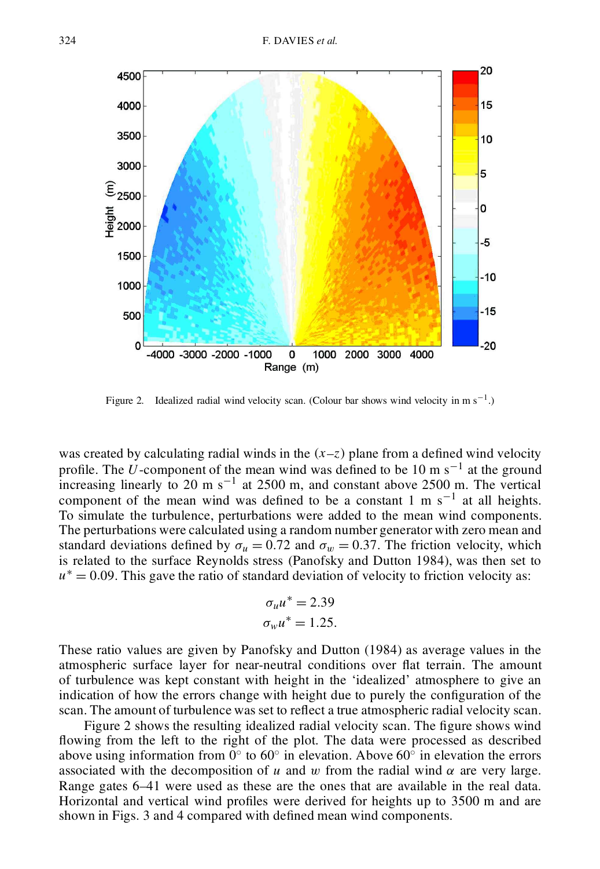

Figure 2. Idealized radial wind velocity scan. (Colour bar shows wind velocity in m  $s^{-1}$ .)

was created by calculating radial winds in the  $(x-z)$  plane from a defined wind velocity profile. The U-component of the mean wind was defined to be 10 m s<sup> $-1$ </sup> at the ground increasing linearly to 20 m  $s^{-1}$  at 2500 m, and constant above 2500 m. The vertical component of the mean wind was defined to be a constant 1 m  $s^{-1}$  at all heights. To simulate the turbulence, perturbations were added to the mean wind components. The perturbations were calculated using a random number generator with zero mean and standard deviations defined by  $\sigma_u = 0.72$  and  $\sigma_w = 0.37$ . The friction velocity, which is related to the surface Reynolds stress (Panofsky and Dutton 1984), was then set to  $u^* = 0.09$ . This gave the ratio of standard deviation of velocity to friction velocity as:

$$
\sigma_u u^* = 2.39
$$
  

$$
\sigma_w u^* = 1.25.
$$

These ratio values are given by Panofsky and Dutton (1984) as average values in the atmospheric surface layer for near-neutral conditions over flat terrain. The amount of turbulence was kept constant with height in the 'idealized' atmosphere to give an indication of how the errors change with height due to purely the configuration of the scan. The amount of turbulence was set to reflect a true atmospheric radial velocity scan.

Figure 2 shows the resulting idealized radial velocity scan. The figure shows wind flowing from the left to the right of the plot. The data were processed as described above using information from  $0^{\circ}$  to  $60^{\circ}$  in elevation. Above  $60^{\circ}$  in elevation the errors associated with the decomposition of u and w from the radial wind  $\alpha$  are very large. Range gates 6–41 were used as these are the ones that are available in the real data. Horizontal and vertical wind profiles were derived for heights up to 3500 m and are shown in Figs. 3 and 4 compared with defined mean wind components.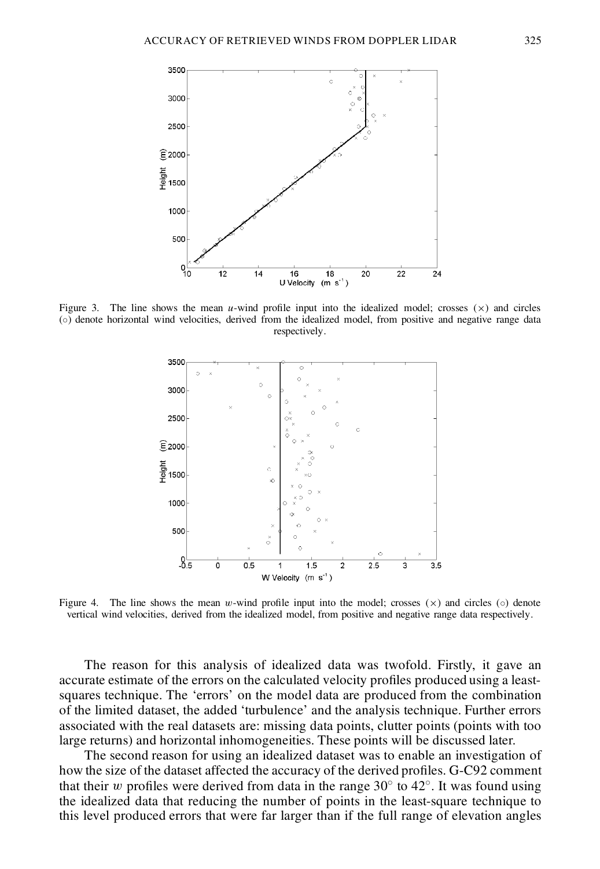

Figure 3. The line shows the mean u-wind profile input into the idealized model; crosses  $(\times)$  and circles (±) denote horizontal wind velocities, derived from the idealized model, from positive and negative range data respectively.



Figure 4. The line shows the mean w-wind profile input into the model; crosses  $(x)$  and circles ( $\circ$ ) denote vertical wind velocities, derived from the idealized model, from positive and negative range data respectively.

The reason for this analysis of idealized data was twofold. Firstly, it gave an accurate estimate of the errors on the calculated velocity profiles produced using a leastsquares technique. The 'errors' on the model data are produced from the combination of the limited dataset, the added 'turbulence' and the analysis technique. Further errors associated with the real datasets are: missing data points, clutter points (points with too large returns) and horizontal inhomogeneities. These points will be discussed later.

The second reason for using an idealized dataset was to enable an investigation of how the size of the dataset affected the accuracy of the derived profiles. G-C92 comment that their w profiles were derived from data in the range  $30^{\circ}$  to  $42^{\circ}$ . It was found using the idealized data that reducing the number of points in the least-square technique to this level produced errors that were far larger than if the full range of elevation angles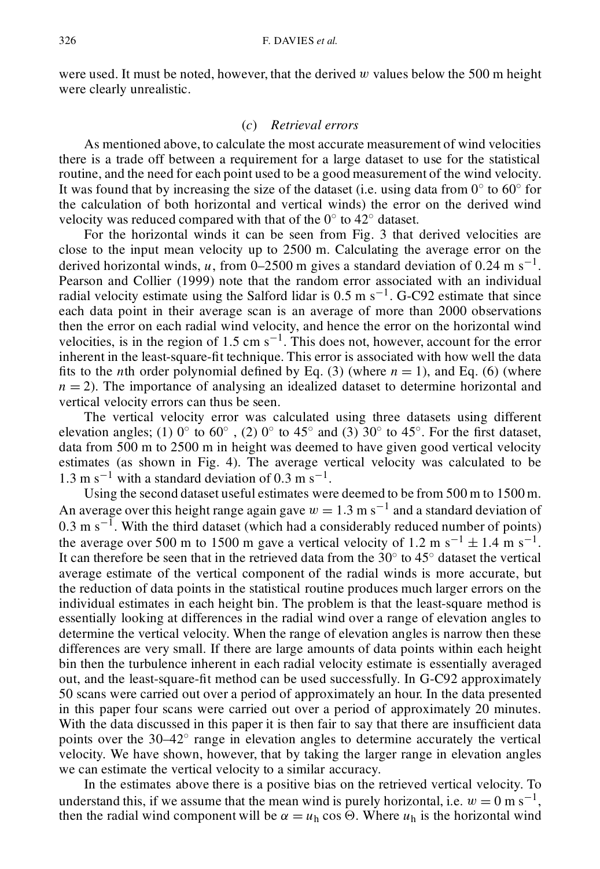were used. It must be noted, however, that the derived  $w$  values below the 500 m height were clearly unrealistic.

## (*c*) *Retrieval errors*

As mentioned above, to calculate the most accurate measurement of wind velocities there is a trade off between a requirement for a large dataset to use for the statistical routine, and the need for each point used to be a good measurement of the wind velocity. It was found that by increasing the size of the dataset (i.e. using data from  $0^{\circ}$  to  $60^{\circ}$  for the calculation of both horizontal and vertical winds) the error on the derived wind velocity was reduced compared with that of the  $0^{\circ}$  to  $42^{\circ}$  dataset.

For the horizontal winds it can be seen from Fig. 3 that derived velocities are close to the input mean velocity up to 2500 m. Calculating the average error on the derived horizontal winds, u, from 0–2500 m gives a standard deviation of 0.24 m s<sup>-1</sup>. Pearson and Collier (1999) note that the random error associated with an individual radial velocity estimate using the Salford lidar is  $0.5 \text{ m s}^{-1}$ . G-C92 estimate that since each data point in their average scan is an average of more than 2000 observations then the error on each radial wind velocity, and hence the error on the horizontal wind velocities, is in the region of 1.5 cm  $s^{-1}$ . This does not, however, account for the error inherent in the least-square-fit technique. This error is associated with how well the data fits to the *n*th order polynomial defined by Eq. (3) (where  $n = 1$ ), and Eq. (6) (where  $n = 2$ ). The importance of analysing an idealized dataset to determine horizontal and vertical velocity errors can thus be seen.

The vertical velocity error was calculated using three datasets using different elevation angles; (1)  $0^{\circ}$  to  $60^{\circ}$ , (2)  $0^{\circ}$  to 45<sup> $\circ$ </sup> and (3) 30 $^{\circ}$  to 45 $^{\circ}$ . For the first dataset, data from 500 m to 2500 m in height was deemed to have given good vertical velocity estimates (as shown in Fig. 4). The average vertical velocity was calculated to be  $1.3 \text{ m s}^{-1}$  with a standard deviation of 0.3 m s<sup>-1</sup>.

Using the second dataset useful estimates were deemed to be from 500 m to 1500 m. An average over this height range again gave  $w = 1.3$  m s<sup>-1</sup> and a standard deviation of  $0.3 \text{ m s}^{-1}$ . With the third dataset (which had a considerably reduced number of points) the average over 500 m to 1500 m gave a vertical velocity of 1.2 m s<sup>-1</sup>  $\pm$  1.4 m s<sup>-1</sup>. It can therefore be seen that in the retrieved data from the  $30^{\circ}$  to  $45^{\circ}$  dataset the vertical average estimate of the vertical component of the radial winds is more accurate, but the reduction of data points in the statistical routine produces much larger errors on the individual estimates in each height bin. The problem is that the least-square method is essentially looking at differences in the radial wind over a range of elevation angles to determine the vertical velocity. When the range of elevation angles is narrow then these differences are very small. If there are large amounts of data points within each height bin then the turbulence inherent in each radial velocity estimate is essentially averaged out, and the least-square-fit method can be used successfully. In G-C92 approximately 50 scans were carried out over a period of approximately an hour. In the data presented in this paper four scans were carried out over a period of approximately 20 minutes. With the data discussed in this paper it is then fair to say that there are insufficient data points over the  $30-42^{\circ}$  range in elevation angles to determine accurately the vertical velocity. We have shown, however, that by taking the larger range in elevation angles we can estimate the vertical velocity to a similar accuracy.

In the estimates above there is a positive bias on the retrieved vertical velocity. To understand this, if we assume that the mean wind is purely horizontal, i.e.  $w = 0$  m s<sup>-1</sup>, then the radial wind component will be  $\alpha = u_h \cos \Theta$ . Where  $u_h$  is the horizontal wind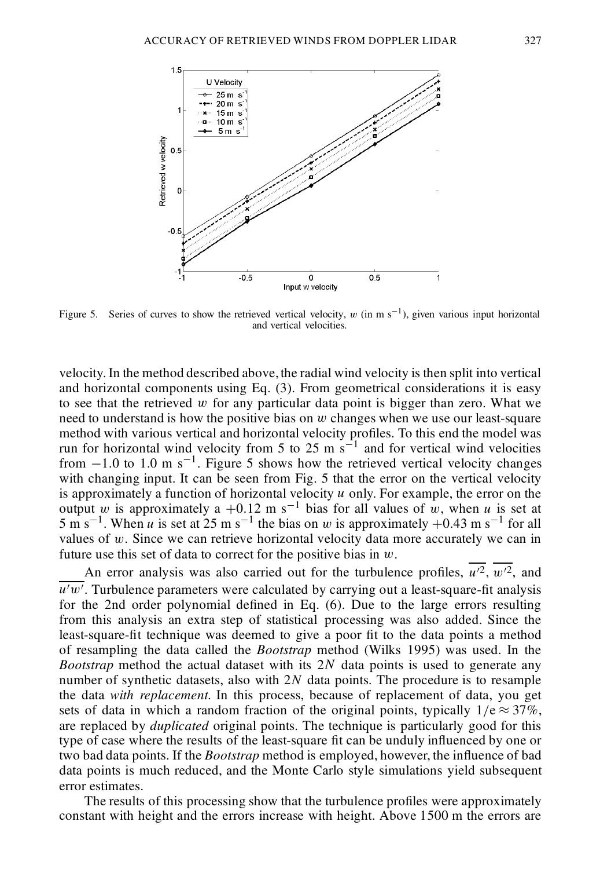



Figure 5. Series of curves to show the retrieved vertical velocity, w (in m  $s^{-1}$ ), given various input horizontal and vertical velocities.

velocity. In the method described above, the radial wind velocity is then split into vertical and horizontal components using Eq. (3). From geometrical considerations it is easy to see that the retrieved  $w$  for any particular data point is bigger than zero. What we need to understand is how the positive bias on  $w$  changes when we use our least-square method with various vertical and horizontal velocity profiles. To this end the model was run for horizontal wind velocity from 5 to 25 m  $\text{s}^{-1}$  and for vertical wind velocities from  $-1.0$  to 1.0 m s<sup>-1</sup>. Figure 5 shows how the retrieved vertical velocity changes with changing input. It can be seen from Fig. 5 that the error on the vertical velocity is approximately a function of horizontal velocity  $u$  only. For example, the error on the output w is approximately a +0.12 m s<sup>-1</sup> bias for all values of w, when u is set at  $5 \text{ m s}^{-1}$ . When *u* is set at  $25 \text{ m s}^{-1}$  the bias on *w* is approximately  $+0.43 \text{ m s}^{-1}$  for all values of w. Since we can retrieve horizontal velocity data more accurately we can in future use this set of data to correct for the positive bias in  $w$ .

An error analysis was also carried out for the turbulence profiles,  $u^2$ ,  $w^2$ , and  $u'w'$ . Turbulence parameters were calculated by carrying out a least-square-fit analysis for the 2nd order polynomial defined in Eq.  $(6)$ . Due to the large errors resulting from this analysis an extra step of statistical processing was also added. Since the least-square-fit technique was deemed to give a poor fit to the data points a method of resampling the data called the *Bootstrap* method (Wilks 1995) was used. In the *Bootstrap* method the actual dataset with its 2N data points is used to generate any number of synthetic datasets, also with  $2N$  data points. The procedure is to resample the data *with replacement*. In this process, because of replacement of data, you get sets of data in which a random fraction of the original points, typically  $1/e \approx 37\%$ , are replaced by *duplicated* original points. The technique is particularly good for this type of case where the results of the least-square fit can be unduly influenced by one or two bad data points. If the *Bootstrap* method is employed, however, the influence of bad data points is much reduced, and the Monte Carlo style simulations yield subsequent error estimates.

The results of this processing show that the turbulence profiles were approximately constant with height and the errors increase with height. Above 1500 m the errors are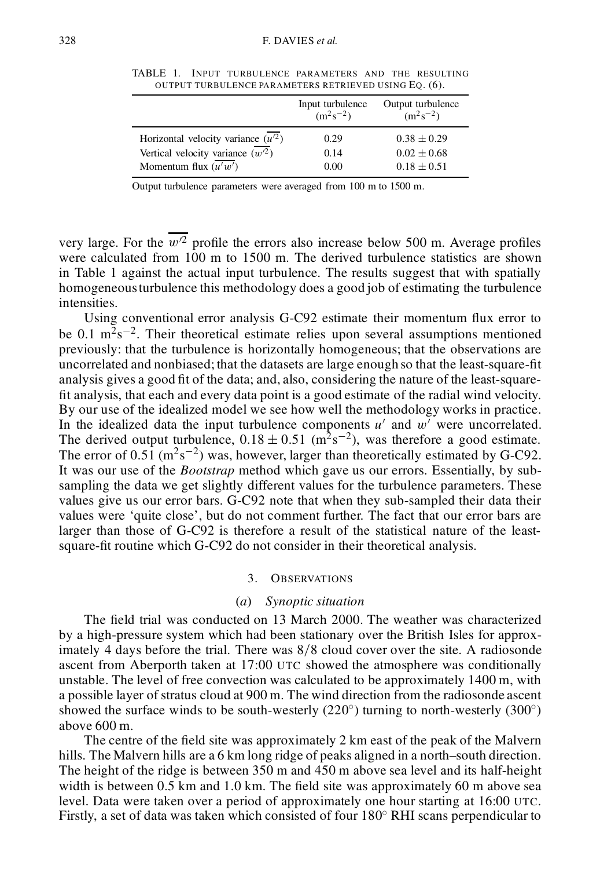|                                      | Input turbulence<br>$(m^2s^{-2})$ | Output turbulence<br>$(m^2s^{-2})$ |
|--------------------------------------|-----------------------------------|------------------------------------|
| Horizontal velocity variance $(u^2)$ | 0.29                              | $0.38 \pm 0.29$                    |
| Vertical velocity variance $(w^2)$   | 0.14                              | $0.02 \pm 0.68$                    |
| Momentum flux $(u'w')$               | 0.00                              | $0.18 \pm 0.51$                    |

TABLE 1. INPUT TURBULENCE PARAMETERS AND THE RESULTING OUTPUT TURBULENCE PARAMETERS RETRIEVED USING EQ. (6).

Output turbulence parameters were averaged from 100 m to 1500 m.

very large. For the  $\overline{w^2}$  profile the errors also increase below 500 m. Average profiles were calculated from 100 m to 1500 m. The derived turbulence statistics are shown in Table 1 against the actual input turbulence. The results suggest that with spatially homogeneousturbulence this methodology does a good job of estimating the turbulence intensities.

Using conventional error analysis G-C92 estimate their momentum flux error to be 0.1  $\text{m}^2\text{s}^{-2}$ . Their theoretical estimate relies upon several assumptions mentioned previously: that the turbulence is horizontally homogeneous; that the observations are uncorrelated and nonbiased; that the datasets are large enough so that the least-square- t analysis gives a good fit of the data; and, also, considering the nature of the least-squarefit analysis, that each and every data point is a good estimate of the radial wind velocity. By our use of the idealized model we see how well the methodology works in practice. In the idealized data the input turbulence components  $u'$  and  $w'$  were uncorrelated. The derived output turbulence,  $0.18 \pm 0.51$  (m<sup>2</sup>s<sup>-2</sup>), was therefore a good estimate. The error of 0.51 ( $\text{m}^2\text{s}^{-2}$ ) was, however, larger than theoretically estimated by G-C92. It was our use of the *Bootstrap* method which gave us our errors. Essentially, by subsampling the data we get slightly different values for the turbulence parameters. These values give us our error bars. G-C92 note that when they sub-sampled their data their values were 'quite close', but do not comment further. The fact that our error bars are larger than those of G-C92 is therefore a result of the statistical nature of the leastsquare-fit routine which G-C92 do not consider in their theoretical analysis.

#### 3. OBSERVATIONS

#### (*a*) *Synoptic situation*

The field trial was conducted on 13 March 2000. The weather was characterized by a high-pressure system which had been stationary over the British Isles for approximately 4 days before the trial. There was  $8/8$  cloud cover over the site. A radiosonde ascent from Aberporth taken at 17:00 UTC showed the atmosphere was conditionally unstable. The level of free convection was calculated to be approximately 1400 m, with a possible layer of stratus cloud at 900 m. The wind direction from the radiosonde ascent showed the surface winds to be south-westerly  $(220^\circ)$  turning to north-westerly  $(300^\circ)$ above 600 m.

The centre of the field site was approximately 2 km east of the peak of the Malvern hills. The Malvern hills are a 6 km long ridge of peaks aligned in a north–south direction. The height of the ridge is between 350 m and 450 m above sea level and its half-height width is between  $0.5$  km and  $1.0$  km. The field site was approximately 60 m above sea level. Data were taken over a period of approximately one hour starting at 16:00 UTC. Firstly, a set of data was taken which consisted of four  $180^\circ$  RHI scans perpendicular to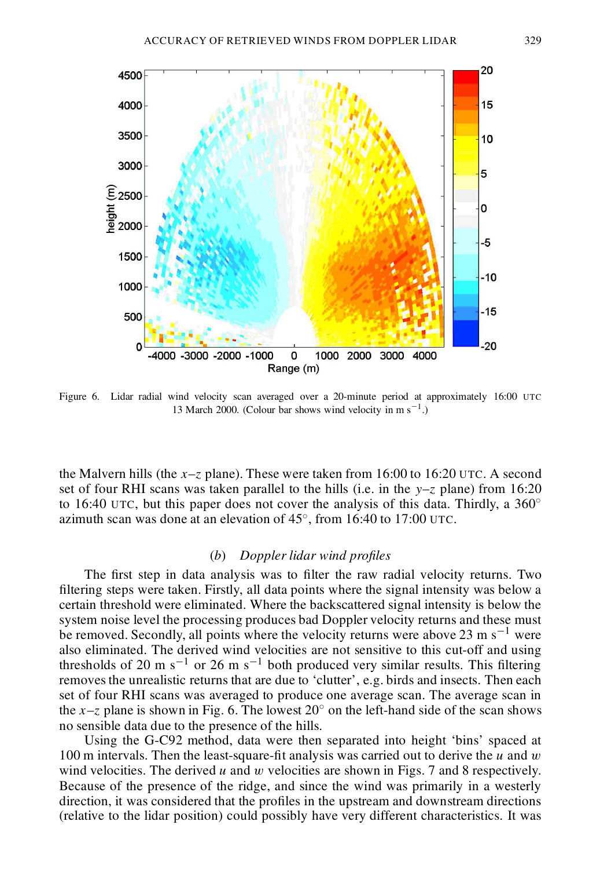

Figure 6. Lidar radial wind velocity scan averaged over a 20-minute period at approximately 16:00 UTC 13 March 2000. (Colour bar shows wind velocity in m  $s^{-1}$ .)

the Malvern hills (the  $x-z$  plane). These were taken from 16:00 to 16:20 UTC. A second set of four RHI scans was taken parallel to the hills (i.e. in the  $y-z$  plane) from 16:20 to 16:40 UTC, but this paper does not cover the analysis of this data. Thirdly, a  $360^{\circ}$ azimuth scan was done at an elevation of  $45^{\circ}$ , from 16:40 to 17:00 UTC.

### (*b*) *Doppler lidar wind proles*

The first step in data analysis was to filter the raw radial velocity returns. Two filtering steps were taken. Firstly, all data points where the signal intensity was below a certain threshold were eliminated. Where the backscattered signal intensity is below the system noise level the processing produces bad Doppler velocity returns and these must be removed. Secondly, all points where the velocity returns were above 23 m s<sup>-1</sup> were also eliminated. The derived wind velocities are not sensitive to this cut-off and using thresholds of 20 m s<sup>-1</sup> or 26 m s<sup>-1</sup> both produced very similar results. This filtering removesthe unrealistic returns that are due to 'clutter', e.g. birds and insects. Then each set of four RHI scans was averaged to produce one average scan. The average scan in the x–z plane is shown in Fig. 6. The lowest  $20^{\circ}$  on the left-hand side of the scan shows no sensible data due to the presence of the hills.

Using the G-C92 method, data were then separated into height 'bins' spaced at 100 m intervals. Then the least-square-fit analysis was carried out to derive the u and w wind velocities. The derived u and w velocities are shown in Figs. 7 and 8 respectively. Because of the presence of the ridge, and since the wind was primarily in a westerly direction, it was considered that the profiles in the upstream and downstream directions (relative to the lidar position) could possibly have very different characteristics. It was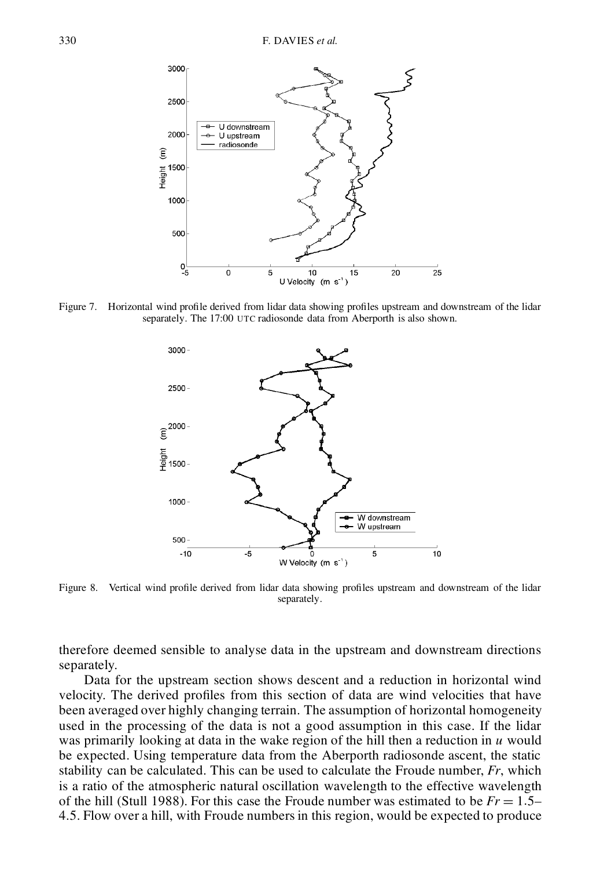

Figure 7. Horizontal wind profile derived from lidar data showing profiles upstream and downstream of the lidar separately. The 17:00 UTC radiosonde data from Aberporth is also shown.



Figure 8. Vertical wind profile derived from lidar data showing profiles upstream and downstream of the lidar separately.

therefore deemed sensible to analyse data in the upstream and downstream directions separately.

Data for the upstream section shows descent and a reduction in horizontal wind velocity. The derived profiles from this section of data are wind velocities that have been averaged over highly changing terrain. The assumption of horizontal homogeneity used in the processing of the data is not a good assumption in this case. If the lidar was primarily looking at data in the wake region of the hill then a reduction in  $u$  would be expected. Using temperature data from the Aberporth radiosonde ascent, the static stability can be calculated. This can be used to calculate the Froude number, *Fr*, which is a ratio of the atmospheric natural oscillation wavelength to the effective wavelength of the hill (Stull 1988). For this case the Froude number was estimated to be  $Fr = 1.5-$ 4.5. Flow over a hill, with Froude numbers in this region, would be expected to produce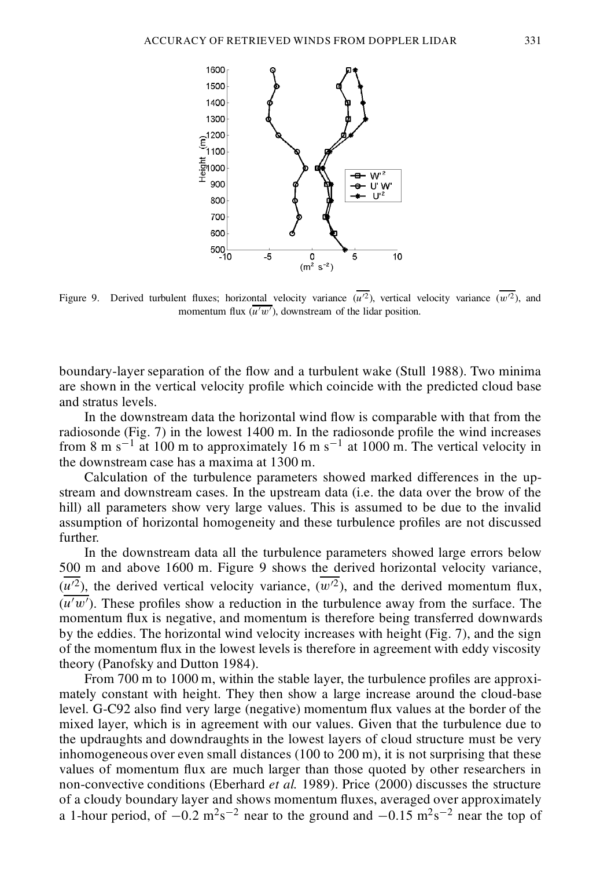



Figure 9. Derived turbulent fluxes; horizontal velocity variance  $(u^2)$ , vertical velocity variance  $(w^2)$ , and momentum flux  $(u'w')$ , downstream of the lidar position.

boundary-layer separation of the flow and a turbulent wake (Stull 1988). Two minima are shown in the vertical velocity profile which coincide with the predicted cloud base and stratus levels.

In the downstream data the horizontal wind flow is comparable with that from the radiosonde (Fig.  $7$ ) in the lowest 1400 m. In the radiosonde profile the wind increases from 8 m s<sup>-1</sup> at 100 m to approximately 16 m s<sup>-1</sup> at 1000 m. The vertical velocity in the downstream case has a maxima at 1300 m.

Calculation of the turbulence parameters showed marked differences in the upstream and downstream cases. In the upstream data (i.e. the data over the brow of the hill) all parameters show very large values. This is assumed to be due to the invalid assumption of horizontal homogeneity and these turbulence profiles are not discussed further.

In the downstream data all the turbulence parameters showed large errors below 500 m and above 1600 m. Figure 9 shows the derived horizontal velocity variance,  $(u^2)$ , the derived vertical velocity variance,  $(w^2)$ , and the derived momentum flux,  $(u'w')$ . These profiles show a reduction in the turbulence away from the surface. The momentum flux is negative, and momentum is therefore being transferred downwards by the eddies. The horizontal wind velocity increases with height (Fig. 7), and the sign of the momentum flux in the lowest levels is therefore in agreement with eddy viscosity theory (Panofsky and Dutton 1984).

From  $700$  m to  $1000$  m, within the stable layer, the turbulence profiles are approximately constant with height. They then show a large increase around the cloud-base level. G-C92 also find very large (negative) momentum flux values at the border of the mixed layer, which is in agreement with our values. Given that the turbulence due to the updraughts and downdraughts in the lowest layers of cloud structure must be very inhomogeneous over even small distances (100 to 200 m), it is not surprising that these values of momentum flux are much larger than those quoted by other researchers in non-convective conditions (Eberhard *et al.* 1989). Price (2000) discusses the structure of a cloudy boundary layer and shows momentum uxes, averaged over approximately a 1-hour period, of  $-0.2 \text{ m}^2\text{s}^{-2}$  near to the ground and  $-0.15 \text{ m}^2\text{s}^{-2}$  near the top of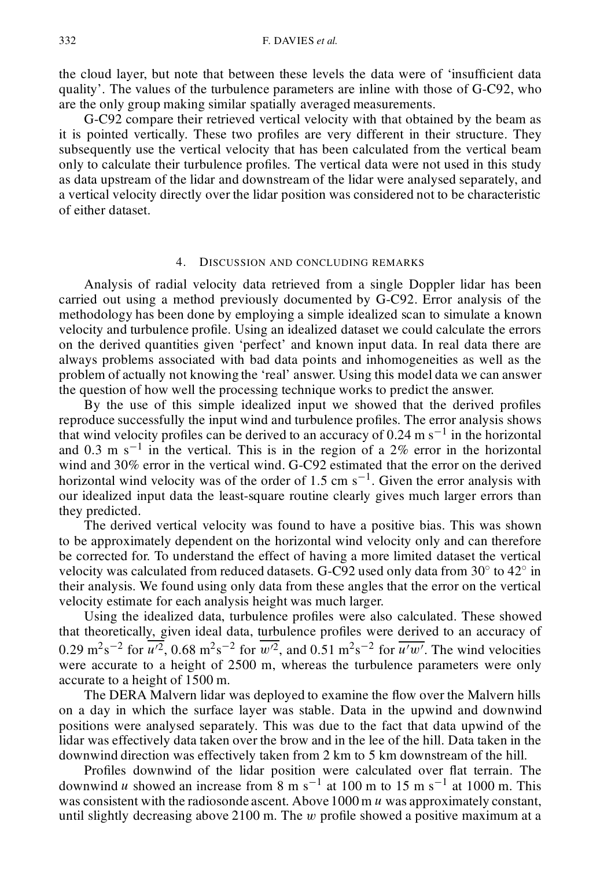the cloud layer, but note that between these levels the data were of 'insufficient data quality'. The values of the turbulence parameters are inline with those of G-C92, who are the only group making similar spatially averaged measurements.

G-C92 compare their retrieved vertical velocity with that obtained by the beam as it is pointed vertically. These two profiles are very different in their structure. They subsequently use the vertical velocity that has been calculated from the vertical beam only to calculate their turbulence profiles. The vertical data were not used in this study as data upstream of the lidar and downstream of the lidar were analysed separately, and a vertical velocity directly over the lidar position was considered not to be characteristic of either dataset.

# 4. DISCUSSION AND CONCLUDING REMARKS

Analysis of radial velocity data retrieved from a single Doppler lidar has been carried out using a method previously documented by G-C92. Error analysis of the methodology has been done by employing a simple idealized scan to simulate a known velocity and turbulence profile. Using an idealized dataset we could calculate the errors on the derived quantities given 'perfect' and known input data. In real data there are always problems associated with bad data points and inhomogeneities as well as the problem of actually not knowing the 'real' answer. Using this model data we can answer the question of how well the processing technique works to predict the answer.

By the use of this simple idealized input we showed that the derived profiles reproduce successfully the input wind and turbulence profiles. The error analysis shows that wind velocity profiles can be derived to an accuracy of 0.24 m  $s^{-1}$  in the horizontal and 0.3 m  $s^{-1}$  in the vertical. This is in the region of a 2% error in the horizontal wind and 30% error in the vertical wind. G-C92 estimated that the error on the derived horizontal wind velocity was of the order of 1.5 cm  $s^{-1}$ . Given the error analysis with our idealized input data the least-square routine clearly gives much larger errors than they predicted.

The derived vertical velocity was found to have a positive bias. This was shown to be approximately dependent on the horizontal wind velocity only and can therefore be corrected for. To understand the effect of having a more limited dataset the vertical velocity was calculated from reduced datasets. G-C92 used only data from  $30^{\circ}$  to  $42^{\circ}$  in their analysis. We found using only data from these angles that the error on the vertical velocity estimate for each analysis height was much larger.

Using the idealized data, turbulence profiles were also calculated. These showed that theoretically, given ideal data, turbulence profiles were derived to an accuracy of 0.29 m<sup>2</sup>s<sup>-2</sup> for  $u^2$ , 0.68 m<sup>2</sup>s<sup>-2</sup> for w<sup>2</sup>, and 0.51 m<sup>2</sup>s<sup>-2</sup> for  $\overline{u^{\prime}w^{\prime}}$ . The wind velocities were accurate to a height of 2500 m, whereas the turbulence parameters were only accurate to a height of 1500 m.

The DERA Malvern lidar was deployed to examine the flow over the Malvern hills on a day in which the surface layer was stable. Data in the upwind and downwind positions were analysed separately. This was due to the fact that data upwind of the lidar was effectively data taken over the brow and in the lee of the hill. Data taken in the downwind direction was effectively taken from 2 km to 5 km downstream of the hill.

Profiles downwind of the lidar position were calculated over flat terrain. The downwind *u* showed an increase from 8 m s<sup>-1</sup> at 100 m to 15 m s<sup>-1</sup> at 1000 m. This was consistent with the radiosonde ascent. Above  $1000 \text{ m } u$  was approximately constant, until slightly decreasing above 2100 m. The  $w$  profile showed a positive maximum at a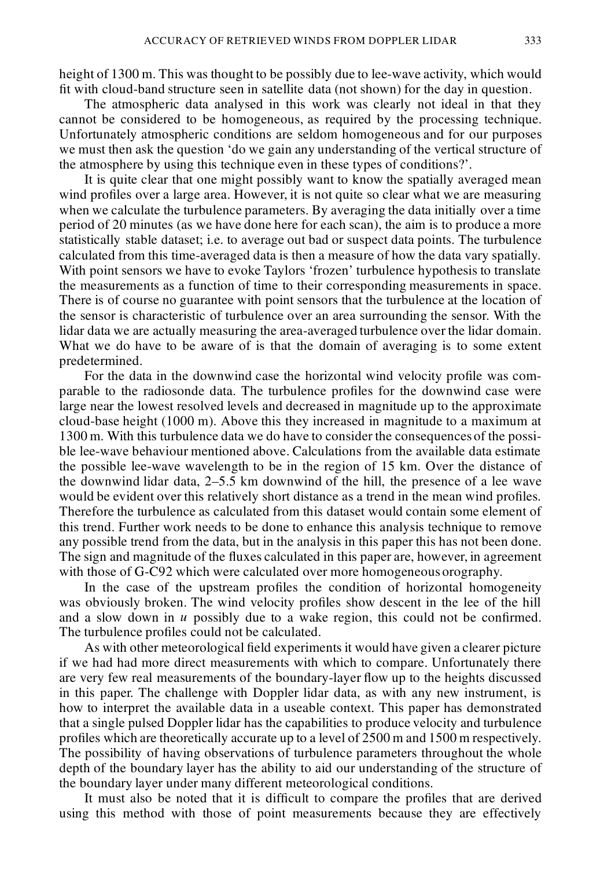height of 1300 m. This was thought to be possibly due to lee-wave activity, which would fit with cloud-band structure seen in satellite data (not shown) for the day in question.

The atmospheric data analysed in this work was clearly not ideal in that they cannot be considered to be homogeneous, as required by the processing technique. Unfortunately atmospheric conditions are seldom homogeneous and for our purposes we must then ask the question 'do we gain any understanding of the vertical structure of the atmosphere by using this technique even in these types of conditions?'.

It is quite clear that one might possibly want to know the spatially averaged mean wind profiles over a large area. However, it is not quite so clear what we are measuring when we calculate the turbulence parameters. By averaging the data initially over a time period of 20 minutes (as we have done here for each scan), the aim is to produce a more statistically stable dataset; i.e. to average out bad or suspect data points. The turbulence calculated from this time-averaged data is then a measure of how the data vary spatially. With point sensors we have to evoke Taylors 'frozen' turbulence hypothesis to translate the measurements as a function of time to their corresponding measurements in space. There is of course no guarantee with point sensors that the turbulence at the location of the sensor is characteristic of turbulence over an area surrounding the sensor. With the lidar data we are actually measuring the area-averaged turbulence over the lidar domain. What we do have to be aware of is that the domain of averaging is to some extent predetermined.

For the data in the downwind case the horizontal wind velocity profile was comparable to the radiosonde data. The turbulence profiles for the downwind case were large near the lowest resolved levels and decreased in magnitude up to the approximate cloud-base height (1000 m). Above this they increased in magnitude to a maximum at 1300 m. With this turbulence data we do have to consider the consequences of the possible lee-wave behaviour mentioned above. Calculations from the available data estimate the possible lee-wave wavelength to be in the region of 15 km. Over the distance of the downwind lidar data, 2–5.5 km downwind of the hill, the presence of a lee wave would be evident over this relatively short distance as a trend in the mean wind profiles. Therefore the turbulence as calculated from this dataset would contain some element of this trend. Further work needs to be done to enhance this analysis technique to remove any possible trend from the data, but in the analysis in this paper this has not been done. The sign and magnitude of the fluxes calculated in this paper are, however, in agreement with those of G-C92 which were calculated over more homogeneous orography.

In the case of the upstream profiles the condition of horizontal homogeneity was obviously broken. The wind velocity profiles show descent in the lee of the hill and a slow down in  $u$  possibly due to a wake region, this could not be confirmed. The turbulence profiles could not be calculated.

As with other meteorological field experiments it would have given a clearer picture if we had had more direct measurements with which to compare. Unfortunately there are very few real measurements of the boundary-layer flow up to the heights discussed in this paper. The challenge with Doppler lidar data, as with any new instrument, is how to interpret the available data in a useable context. This paper has demonstrated that a single pulsed Doppler lidar has the capabilities to produce velocity and turbulence profiles which are theoretically accurate up to a level of 2500 m and 1500 m respectively. The possibility of having observations of turbulence parameters throughout the whole depth of the boundary layer has the ability to aid our understanding of the structure of the boundary layer under many different meteorological conditions.

It must also be noted that it is difficult to compare the profiles that are derived using this method with those of point measurements because they are effectively